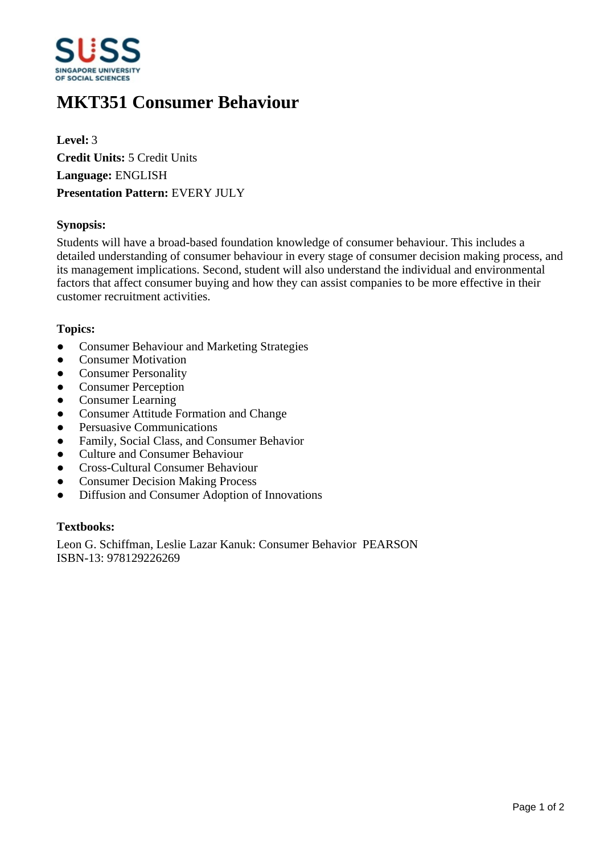

# **MKT351 Consumer Behaviour**

**Level:** 3 **Credit Units:** 5 Credit Units **Language:** ENGLISH **Presentation Pattern:** EVERY JULY

### **Synopsis:**

Students will have a broad-based foundation knowledge of consumer behaviour. This includes a detailed understanding of consumer behaviour in every stage of consumer decision making process, and its management implications. Second, student will also understand the individual and environmental factors that affect consumer buying and how they can assist companies to be more effective in their customer recruitment activities.

#### **Topics:**

- Consumer Behaviour and Marketing Strategies
- Consumer Motivation
- Consumer Personality
- Consumer Perception
- Consumer Learning
- ƔConsumer Attitude Formation and Change
- Persuasive Communications
- Family, Social Class, and Consumer Behavior
- Culture and Consumer Behaviour
- ƔCross-Cultural Consumer Behaviour
- Consumer Decision Making Process
- Diffusion and Consumer Adoption of Innovations

## **Textbooks:**

Leon G. Schiffman, Leslie Lazar Kanuk: Consumer Behavior PEARSON ISBN-13: 978129226269